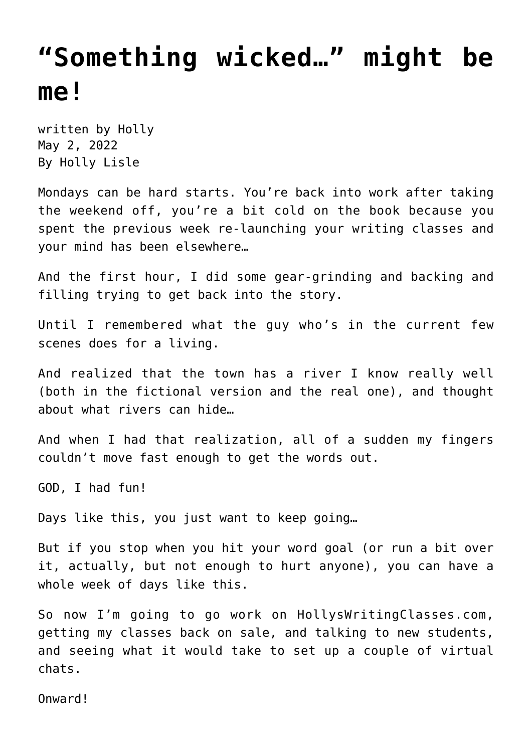## **["Something wicked…" might be](https://hollylisle.com/something-wicked-might-be-me/) [me!](https://hollylisle.com/something-wicked-might-be-me/)**

written by Holly May 2, 2022 [By Holly Lisle](https://hollylisle.com)

Mondays can be hard starts. You're back into work after taking the weekend off, you're a bit cold on the book because you spent the previous week re-launching your writing classes and your mind has been elsewhere…

And the first hour, I did some gear-grinding and backing and filling trying to get back into the story.

Until I remembered what the guy who's in the current few scenes does for a living.

And realized that the town has a river I know really well (both in the fictional version and the real one), and thought about what rivers can hide…

And when I had that realization, all of a sudden my fingers couldn't move fast enough to get the words out.

GOD, I had fun!

Days like this, you just want to keep going…

But if you stop when you hit your word goal (or run a bit over it, actually, but not enough to hurt anyone), you can have a whole week of days like this.

So now I'm going to go work on HollysWritingClasses.com, getting my classes back on sale, and talking to new students, and seeing what it would take to set up a couple of virtual chats.

Onward!